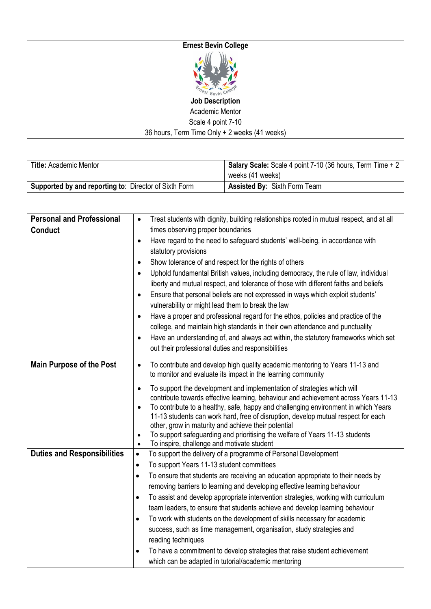## **Ernest Bevin College**



**Job Description** Academic Mentor Scale 4 point 7-10 36 hours, Term Time Only + 2 weeks (41 weeks)

| <b>Title: Academic Mentor</b>                                | Salary Scale: Scale 4 point 7-10 (36 hours, Term Time + 2 |  |
|--------------------------------------------------------------|-----------------------------------------------------------|--|
|                                                              | weeks (41 weeks)                                          |  |
| <b>Supported by and reporting to: Director of Sixth Form</b> | <b>Assisted By: Sixth Form Team</b>                       |  |

| <b>Personal and Professional</b>   | Treat students with dignity, building relationships rooted in mutual respect, and at all<br>$\bullet$                                            |  |
|------------------------------------|--------------------------------------------------------------------------------------------------------------------------------------------------|--|
| <b>Conduct</b>                     | times observing proper boundaries                                                                                                                |  |
|                                    | Have regard to the need to safeguard students' well-being, in accordance with<br>$\bullet$                                                       |  |
|                                    | statutory provisions                                                                                                                             |  |
|                                    | Show tolerance of and respect for the rights of others<br>$\bullet$                                                                              |  |
|                                    | Uphold fundamental British values, including democracy, the rule of law, individual<br>$\bullet$                                                 |  |
|                                    | liberty and mutual respect, and tolerance of those with different faiths and beliefs                                                             |  |
|                                    | Ensure that personal beliefs are not expressed in ways which exploit students'<br>$\bullet$                                                      |  |
|                                    | vulnerability or might lead them to break the law                                                                                                |  |
|                                    | Have a proper and professional regard for the ethos, policies and practice of the<br>$\bullet$                                                   |  |
|                                    | college, and maintain high standards in their own attendance and punctuality                                                                     |  |
|                                    | Have an understanding of, and always act within, the statutory frameworks which set<br>$\bullet$                                                 |  |
|                                    | out their professional duties and responsibilities                                                                                               |  |
| <b>Main Purpose of the Post</b>    | To contribute and develop high quality academic mentoring to Years 11-13 and<br>$\bullet$                                                        |  |
|                                    | to monitor and evaluate its impact in the learning community                                                                                     |  |
|                                    | To support the development and implementation of strategies which will<br>$\bullet$                                                              |  |
|                                    | contribute towards effective learning, behaviour and achievement across Years 11-13                                                              |  |
|                                    | To contribute to a healthy, safe, happy and challenging environment in which Years<br>$\bullet$                                                  |  |
|                                    | 11-13 students can work hard, free of disruption, develop mutual respect for each                                                                |  |
|                                    | other, grow in maturity and achieve their potential<br>To support safeguarding and prioritising the welfare of Years 11-13 students<br>$\bullet$ |  |
|                                    | To inspire, challenge and motivate student<br>$\bullet$                                                                                          |  |
| <b>Duties and Responsibilities</b> | To support the delivery of a programme of Personal Development<br>$\bullet$                                                                      |  |
|                                    | To support Years 11-13 student committees<br>$\bullet$                                                                                           |  |
|                                    | To ensure that students are receiving an education appropriate to their needs by<br>$\bullet$                                                    |  |
|                                    | removing barriers to learning and developing effective learning behaviour                                                                        |  |
|                                    | To assist and develop appropriate intervention strategies, working with curriculum<br>$\bullet$                                                  |  |
|                                    | team leaders, to ensure that students achieve and develop learning behaviour                                                                     |  |
|                                    | To work with students on the development of skills necessary for academic<br>٠                                                                   |  |
|                                    | success, such as time management, organisation, study strategies and                                                                             |  |
|                                    | reading techniques                                                                                                                               |  |
|                                    | To have a commitment to develop strategies that raise student achievement                                                                        |  |
|                                    | which can be adapted in tutorial/academic mentoring                                                                                              |  |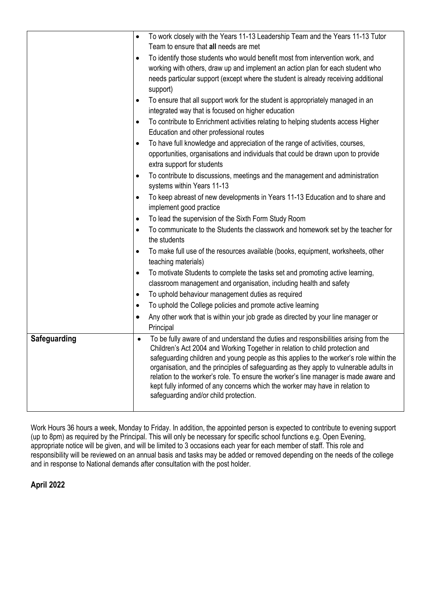| Team to ensure that all needs are met<br>To identify those students who would benefit most from intervention work, and<br>$\bullet$<br>working with others, draw up and implement an action plan for each student who<br>needs particular support (except where the student is already receiving additional<br>support)<br>To ensure that all support work for the student is appropriately managed in an<br>٠<br>integrated way that is focused on higher education<br>To contribute to Enrichment activities relating to helping students access Higher<br>٠<br>Education and other professional routes<br>To have full knowledge and appreciation of the range of activities, courses,<br>$\bullet$<br>opportunities, organisations and individuals that could be drawn upon to provide<br>extra support for students<br>To contribute to discussions, meetings and the management and administration<br>٠<br>systems within Years 11-13<br>To keep abreast of new developments in Years 11-13 Education and to share and<br>٠<br>implement good practice<br>To lead the supervision of the Sixth Form Study Room<br>$\bullet$<br>To communicate to the Students the classwork and homework set by the teacher for<br>$\bullet$<br>the students<br>To make full use of the resources available (books, equipment, worksheets, other<br>$\bullet$<br>teaching materials)<br>To motivate Students to complete the tasks set and promoting active learning,<br>$\bullet$<br>classroom management and organisation, including health and safety<br>To uphold behaviour management duties as required<br>$\bullet$<br>To uphold the College policies and promote active learning<br>$\bullet$<br>Any other work that is within your job grade as directed by your line manager or<br>$\bullet$<br>Principal<br>To be fully aware of and understand the duties and responsibilities arising from the<br>Safeguarding<br>$\bullet$<br>Children's Act 2004 and Working Together in relation to child protection and<br>safeguarding children and young people as this applies to the worker's role within the<br>organisation, and the principles of safeguarding as they apply to vulnerable adults in<br>relation to the worker's role. To ensure the worker's line manager is made aware and<br>kept fully informed of any concerns which the worker may have in relation to<br>safeguarding and/or child protection. | To work closely with the Years 11-13 Leadership Team and the Years 11-13 Tutor<br>$\bullet$ |
|---------------------------------------------------------------------------------------------------------------------------------------------------------------------------------------------------------------------------------------------------------------------------------------------------------------------------------------------------------------------------------------------------------------------------------------------------------------------------------------------------------------------------------------------------------------------------------------------------------------------------------------------------------------------------------------------------------------------------------------------------------------------------------------------------------------------------------------------------------------------------------------------------------------------------------------------------------------------------------------------------------------------------------------------------------------------------------------------------------------------------------------------------------------------------------------------------------------------------------------------------------------------------------------------------------------------------------------------------------------------------------------------------------------------------------------------------------------------------------------------------------------------------------------------------------------------------------------------------------------------------------------------------------------------------------------------------------------------------------------------------------------------------------------------------------------------------------------------------------------------------------------------------------------------------------------------------------------------------------------------------------------------------------------------------------------------------------------------------------------------------------------------------------------------------------------------------------------------------------------------------------------------------------------------------------------------------------------------------------------------------------------------------------------------|---------------------------------------------------------------------------------------------|
|                                                                                                                                                                                                                                                                                                                                                                                                                                                                                                                                                                                                                                                                                                                                                                                                                                                                                                                                                                                                                                                                                                                                                                                                                                                                                                                                                                                                                                                                                                                                                                                                                                                                                                                                                                                                                                                                                                                                                                                                                                                                                                                                                                                                                                                                                                                                                                                                                     |                                                                                             |
|                                                                                                                                                                                                                                                                                                                                                                                                                                                                                                                                                                                                                                                                                                                                                                                                                                                                                                                                                                                                                                                                                                                                                                                                                                                                                                                                                                                                                                                                                                                                                                                                                                                                                                                                                                                                                                                                                                                                                                                                                                                                                                                                                                                                                                                                                                                                                                                                                     |                                                                                             |
|                                                                                                                                                                                                                                                                                                                                                                                                                                                                                                                                                                                                                                                                                                                                                                                                                                                                                                                                                                                                                                                                                                                                                                                                                                                                                                                                                                                                                                                                                                                                                                                                                                                                                                                                                                                                                                                                                                                                                                                                                                                                                                                                                                                                                                                                                                                                                                                                                     |                                                                                             |
|                                                                                                                                                                                                                                                                                                                                                                                                                                                                                                                                                                                                                                                                                                                                                                                                                                                                                                                                                                                                                                                                                                                                                                                                                                                                                                                                                                                                                                                                                                                                                                                                                                                                                                                                                                                                                                                                                                                                                                                                                                                                                                                                                                                                                                                                                                                                                                                                                     |                                                                                             |
|                                                                                                                                                                                                                                                                                                                                                                                                                                                                                                                                                                                                                                                                                                                                                                                                                                                                                                                                                                                                                                                                                                                                                                                                                                                                                                                                                                                                                                                                                                                                                                                                                                                                                                                                                                                                                                                                                                                                                                                                                                                                                                                                                                                                                                                                                                                                                                                                                     |                                                                                             |
|                                                                                                                                                                                                                                                                                                                                                                                                                                                                                                                                                                                                                                                                                                                                                                                                                                                                                                                                                                                                                                                                                                                                                                                                                                                                                                                                                                                                                                                                                                                                                                                                                                                                                                                                                                                                                                                                                                                                                                                                                                                                                                                                                                                                                                                                                                                                                                                                                     |                                                                                             |
|                                                                                                                                                                                                                                                                                                                                                                                                                                                                                                                                                                                                                                                                                                                                                                                                                                                                                                                                                                                                                                                                                                                                                                                                                                                                                                                                                                                                                                                                                                                                                                                                                                                                                                                                                                                                                                                                                                                                                                                                                                                                                                                                                                                                                                                                                                                                                                                                                     |                                                                                             |
|                                                                                                                                                                                                                                                                                                                                                                                                                                                                                                                                                                                                                                                                                                                                                                                                                                                                                                                                                                                                                                                                                                                                                                                                                                                                                                                                                                                                                                                                                                                                                                                                                                                                                                                                                                                                                                                                                                                                                                                                                                                                                                                                                                                                                                                                                                                                                                                                                     |                                                                                             |
|                                                                                                                                                                                                                                                                                                                                                                                                                                                                                                                                                                                                                                                                                                                                                                                                                                                                                                                                                                                                                                                                                                                                                                                                                                                                                                                                                                                                                                                                                                                                                                                                                                                                                                                                                                                                                                                                                                                                                                                                                                                                                                                                                                                                                                                                                                                                                                                                                     |                                                                                             |
|                                                                                                                                                                                                                                                                                                                                                                                                                                                                                                                                                                                                                                                                                                                                                                                                                                                                                                                                                                                                                                                                                                                                                                                                                                                                                                                                                                                                                                                                                                                                                                                                                                                                                                                                                                                                                                                                                                                                                                                                                                                                                                                                                                                                                                                                                                                                                                                                                     |                                                                                             |
|                                                                                                                                                                                                                                                                                                                                                                                                                                                                                                                                                                                                                                                                                                                                                                                                                                                                                                                                                                                                                                                                                                                                                                                                                                                                                                                                                                                                                                                                                                                                                                                                                                                                                                                                                                                                                                                                                                                                                                                                                                                                                                                                                                                                                                                                                                                                                                                                                     |                                                                                             |
|                                                                                                                                                                                                                                                                                                                                                                                                                                                                                                                                                                                                                                                                                                                                                                                                                                                                                                                                                                                                                                                                                                                                                                                                                                                                                                                                                                                                                                                                                                                                                                                                                                                                                                                                                                                                                                                                                                                                                                                                                                                                                                                                                                                                                                                                                                                                                                                                                     |                                                                                             |
|                                                                                                                                                                                                                                                                                                                                                                                                                                                                                                                                                                                                                                                                                                                                                                                                                                                                                                                                                                                                                                                                                                                                                                                                                                                                                                                                                                                                                                                                                                                                                                                                                                                                                                                                                                                                                                                                                                                                                                                                                                                                                                                                                                                                                                                                                                                                                                                                                     |                                                                                             |
|                                                                                                                                                                                                                                                                                                                                                                                                                                                                                                                                                                                                                                                                                                                                                                                                                                                                                                                                                                                                                                                                                                                                                                                                                                                                                                                                                                                                                                                                                                                                                                                                                                                                                                                                                                                                                                                                                                                                                                                                                                                                                                                                                                                                                                                                                                                                                                                                                     |                                                                                             |
|                                                                                                                                                                                                                                                                                                                                                                                                                                                                                                                                                                                                                                                                                                                                                                                                                                                                                                                                                                                                                                                                                                                                                                                                                                                                                                                                                                                                                                                                                                                                                                                                                                                                                                                                                                                                                                                                                                                                                                                                                                                                                                                                                                                                                                                                                                                                                                                                                     |                                                                                             |
|                                                                                                                                                                                                                                                                                                                                                                                                                                                                                                                                                                                                                                                                                                                                                                                                                                                                                                                                                                                                                                                                                                                                                                                                                                                                                                                                                                                                                                                                                                                                                                                                                                                                                                                                                                                                                                                                                                                                                                                                                                                                                                                                                                                                                                                                                                                                                                                                                     |                                                                                             |
|                                                                                                                                                                                                                                                                                                                                                                                                                                                                                                                                                                                                                                                                                                                                                                                                                                                                                                                                                                                                                                                                                                                                                                                                                                                                                                                                                                                                                                                                                                                                                                                                                                                                                                                                                                                                                                                                                                                                                                                                                                                                                                                                                                                                                                                                                                                                                                                                                     |                                                                                             |
|                                                                                                                                                                                                                                                                                                                                                                                                                                                                                                                                                                                                                                                                                                                                                                                                                                                                                                                                                                                                                                                                                                                                                                                                                                                                                                                                                                                                                                                                                                                                                                                                                                                                                                                                                                                                                                                                                                                                                                                                                                                                                                                                                                                                                                                                                                                                                                                                                     |                                                                                             |
|                                                                                                                                                                                                                                                                                                                                                                                                                                                                                                                                                                                                                                                                                                                                                                                                                                                                                                                                                                                                                                                                                                                                                                                                                                                                                                                                                                                                                                                                                                                                                                                                                                                                                                                                                                                                                                                                                                                                                                                                                                                                                                                                                                                                                                                                                                                                                                                                                     |                                                                                             |
|                                                                                                                                                                                                                                                                                                                                                                                                                                                                                                                                                                                                                                                                                                                                                                                                                                                                                                                                                                                                                                                                                                                                                                                                                                                                                                                                                                                                                                                                                                                                                                                                                                                                                                                                                                                                                                                                                                                                                                                                                                                                                                                                                                                                                                                                                                                                                                                                                     |                                                                                             |
|                                                                                                                                                                                                                                                                                                                                                                                                                                                                                                                                                                                                                                                                                                                                                                                                                                                                                                                                                                                                                                                                                                                                                                                                                                                                                                                                                                                                                                                                                                                                                                                                                                                                                                                                                                                                                                                                                                                                                                                                                                                                                                                                                                                                                                                                                                                                                                                                                     |                                                                                             |
|                                                                                                                                                                                                                                                                                                                                                                                                                                                                                                                                                                                                                                                                                                                                                                                                                                                                                                                                                                                                                                                                                                                                                                                                                                                                                                                                                                                                                                                                                                                                                                                                                                                                                                                                                                                                                                                                                                                                                                                                                                                                                                                                                                                                                                                                                                                                                                                                                     |                                                                                             |
|                                                                                                                                                                                                                                                                                                                                                                                                                                                                                                                                                                                                                                                                                                                                                                                                                                                                                                                                                                                                                                                                                                                                                                                                                                                                                                                                                                                                                                                                                                                                                                                                                                                                                                                                                                                                                                                                                                                                                                                                                                                                                                                                                                                                                                                                                                                                                                                                                     |                                                                                             |
|                                                                                                                                                                                                                                                                                                                                                                                                                                                                                                                                                                                                                                                                                                                                                                                                                                                                                                                                                                                                                                                                                                                                                                                                                                                                                                                                                                                                                                                                                                                                                                                                                                                                                                                                                                                                                                                                                                                                                                                                                                                                                                                                                                                                                                                                                                                                                                                                                     |                                                                                             |
|                                                                                                                                                                                                                                                                                                                                                                                                                                                                                                                                                                                                                                                                                                                                                                                                                                                                                                                                                                                                                                                                                                                                                                                                                                                                                                                                                                                                                                                                                                                                                                                                                                                                                                                                                                                                                                                                                                                                                                                                                                                                                                                                                                                                                                                                                                                                                                                                                     |                                                                                             |
|                                                                                                                                                                                                                                                                                                                                                                                                                                                                                                                                                                                                                                                                                                                                                                                                                                                                                                                                                                                                                                                                                                                                                                                                                                                                                                                                                                                                                                                                                                                                                                                                                                                                                                                                                                                                                                                                                                                                                                                                                                                                                                                                                                                                                                                                                                                                                                                                                     |                                                                                             |
|                                                                                                                                                                                                                                                                                                                                                                                                                                                                                                                                                                                                                                                                                                                                                                                                                                                                                                                                                                                                                                                                                                                                                                                                                                                                                                                                                                                                                                                                                                                                                                                                                                                                                                                                                                                                                                                                                                                                                                                                                                                                                                                                                                                                                                                                                                                                                                                                                     |                                                                                             |
|                                                                                                                                                                                                                                                                                                                                                                                                                                                                                                                                                                                                                                                                                                                                                                                                                                                                                                                                                                                                                                                                                                                                                                                                                                                                                                                                                                                                                                                                                                                                                                                                                                                                                                                                                                                                                                                                                                                                                                                                                                                                                                                                                                                                                                                                                                                                                                                                                     |                                                                                             |
|                                                                                                                                                                                                                                                                                                                                                                                                                                                                                                                                                                                                                                                                                                                                                                                                                                                                                                                                                                                                                                                                                                                                                                                                                                                                                                                                                                                                                                                                                                                                                                                                                                                                                                                                                                                                                                                                                                                                                                                                                                                                                                                                                                                                                                                                                                                                                                                                                     |                                                                                             |
|                                                                                                                                                                                                                                                                                                                                                                                                                                                                                                                                                                                                                                                                                                                                                                                                                                                                                                                                                                                                                                                                                                                                                                                                                                                                                                                                                                                                                                                                                                                                                                                                                                                                                                                                                                                                                                                                                                                                                                                                                                                                                                                                                                                                                                                                                                                                                                                                                     |                                                                                             |
|                                                                                                                                                                                                                                                                                                                                                                                                                                                                                                                                                                                                                                                                                                                                                                                                                                                                                                                                                                                                                                                                                                                                                                                                                                                                                                                                                                                                                                                                                                                                                                                                                                                                                                                                                                                                                                                                                                                                                                                                                                                                                                                                                                                                                                                                                                                                                                                                                     |                                                                                             |
|                                                                                                                                                                                                                                                                                                                                                                                                                                                                                                                                                                                                                                                                                                                                                                                                                                                                                                                                                                                                                                                                                                                                                                                                                                                                                                                                                                                                                                                                                                                                                                                                                                                                                                                                                                                                                                                                                                                                                                                                                                                                                                                                                                                                                                                                                                                                                                                                                     |                                                                                             |
|                                                                                                                                                                                                                                                                                                                                                                                                                                                                                                                                                                                                                                                                                                                                                                                                                                                                                                                                                                                                                                                                                                                                                                                                                                                                                                                                                                                                                                                                                                                                                                                                                                                                                                                                                                                                                                                                                                                                                                                                                                                                                                                                                                                                                                                                                                                                                                                                                     |                                                                                             |
|                                                                                                                                                                                                                                                                                                                                                                                                                                                                                                                                                                                                                                                                                                                                                                                                                                                                                                                                                                                                                                                                                                                                                                                                                                                                                                                                                                                                                                                                                                                                                                                                                                                                                                                                                                                                                                                                                                                                                                                                                                                                                                                                                                                                                                                                                                                                                                                                                     |                                                                                             |

Work Hours 36 hours a week, Monday to Friday. In addition, the appointed person is expected to contribute to evening support (up to 8pm) as required by the Principal. This will only be necessary for specific school functions e.g. Open Evening, appropriate notice will be given, and will be limited to 3 occasions each year for each member of staff. This role and responsibility will be reviewed on an annual basis and tasks may be added or removed depending on the needs of the college and in response to National demands after consultation with the post holder.

## **April 2022**